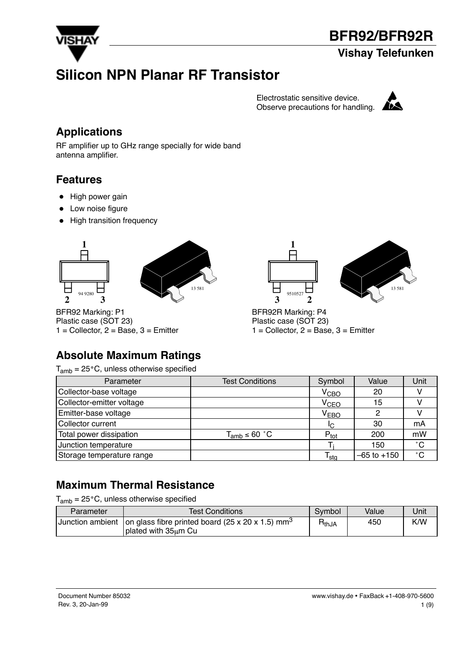

#### **Vishay Telefunken**

# **Silicon NPN Planar RF Transistor**

Electrostatic sensitive device. Observe precautions for handling.  $\blacksquare$ 



#### **Applications**

RF amplifier up to GHz range specially for wide band antenna amplifier.

#### **Features**

- High power gain
- Low noise figure
- High transition frequency





BFR92 Marking: P1 Plastic case (SOT 23)  $1 =$  Collector,  $2 =$  Base,  $3 =$  Emitter





BFR92R Marking: P4 Plastic case (SOT 23)  $1 =$  Collector,  $2 =$  Base,  $3 =$  Emitter

### **Absolute Maximum Ratings**

 $T_{amb} = 25^{\circ}$ C, unless otherwise specified

| Parameter                 | <b>Test Conditions</b> | Symbol           | Value           | Unit         |
|---------------------------|------------------------|------------------|-----------------|--------------|
| Collector-base voltage    |                        | $\rm V_{CBO}$    | 20              |              |
| Collector-emitter voltage |                        | V <sub>CEO</sub> | 15              |              |
| Emitter-base voltage      |                        | V <sub>EBO</sub> |                 |              |
| Collector current         |                        | IC.              | 30              | mA           |
| Total power dissipation   | $T_{amb}$ ≤ 60 °C      | $P_{\text{tot}}$ | 200             | mW           |
| Junction temperature      |                        |                  | 150             | $^{\circ}$ C |
| Storage temperature range |                        | l sta            | $-65$ to $+150$ | $^{\circ}$ C |

### **Maximum Thermal Resistance**

 $T_{amb}$  = 25 $^{\circ}$ C, unless otherwise specified

| Parameter | <b>Test Conditions</b>                                                                                   | Symbol     | Value | Jnit |
|-----------|----------------------------------------------------------------------------------------------------------|------------|-------|------|
|           | Junction ambient   on glass fibre printed board (25 x 20 x 1.5) mm <sup>3</sup><br>I plated with 35um Cu | $R_{thJA}$ | 450   | K/W  |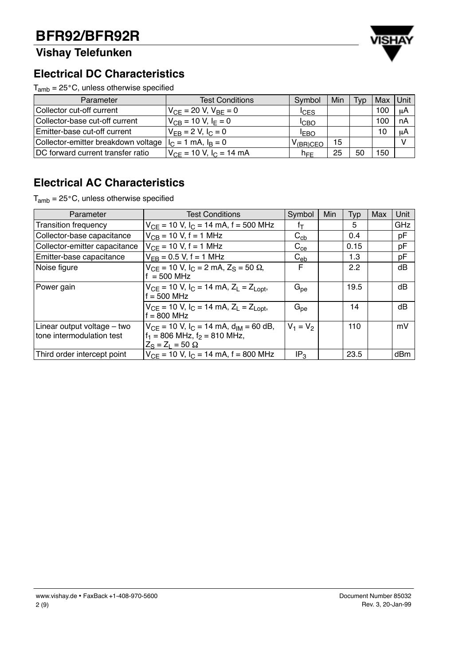# **Vishay Telefunken**



### **Electrical DC Characteristics**

 $T_{amb} = 25^{\circ}$ C, unless otherwise specified

| Parameter                                                    | <b>Test Conditions</b>         | <b>Typ</b>            | Max | Unit |     |    |
|--------------------------------------------------------------|--------------------------------|-----------------------|-----|------|-----|----|
| Collector cut-off current                                    | $V_{CF}$ = 20 V, $V_{BF}$ = 0  | <sup>I</sup> CES      |     |      | 100 | μA |
| Collector-base cut-off current                               | $V_{CB} = 10 V, I_F = 0$       | <b>ICBO</b>           |     |      | 100 | nA |
| Emitter-base cut-off current                                 | $V_{FB} = 2 V, I_C = 0$        | <b>IEBO</b>           |     |      | 10  | μA |
| Collector-emitter breakdown voltage $ I_C = 1$ mA, $I_B = 0$ |                                | V <sub>(BR)</sub> CEO | 15  |      |     |    |
| DC forward current transfer ratio                            | $V_{CF}$ = 10 V, $I_C$ = 14 mA | $n_{\text{FF}}$       | 25  | 50   | 150 |    |

## **Electrical AC Characteristics**

 $T_{amb} = 25^{\circ}$ C, unless otherwise specified

| Parameter                                                | <b>Test Conditions</b>                                                                                                     | Symbol          | <b>Min</b> | Typ  | Max | Unit       |
|----------------------------------------------------------|----------------------------------------------------------------------------------------------------------------------------|-----------------|------------|------|-----|------------|
| <b>Transition frequency</b>                              | $V_{CE}$ = 10 V, I <sub>C</sub> = 14 mA, f = 500 MHz                                                                       | fт              |            | 5    |     | <b>GHz</b> |
| Collector-base capacitance                               | $V_{CB}$ = 10 V, f = 1 MHz                                                                                                 | $C_{cb}$        |            | 0.4  |     | pF         |
| Collector-emitter capacitance                            | $V_{CF}$ = 10 V, f = 1 MHz                                                                                                 | $C_{ce}$        |            | 0.15 |     | pF         |
| Emitter-base capacitance                                 | $V_{FB} = 0.5 V$ , f = 1 MHz                                                                                               | $C_{eb}$        |            | 1.3  |     | pF         |
| Noise figure                                             | $V_{CE}$ = 10 V, I <sub>C</sub> = 2 mA, Z <sub>S</sub> = 50 $\Omega$ ,<br>$f = 500$ MHz                                    | F               |            | 2.2  |     | dB         |
| Power gain                                               | $V_{CF}$ = 10 V, $I_C$ = 14 mA, $Z_L$ = $Z_{Lopt}$ ,<br>$f = 500$ MHz                                                      | $G_{\text{pe}}$ |            | 19.5 |     | dB         |
|                                                          | $V_{CE}$ = 10 V, I <sub>C</sub> = 14 mA, Z <sub>L</sub> = Z <sub>Lopt</sub> ,<br>$f = 800$ MHz                             | $G_{pe}$        |            | 14   |     | dB         |
| Linear output voltage – two<br>tone intermodulation test | $V_{CF}$ = 10 V, I <sub>C</sub> = 14 mA, $d_{IM}$ = 60 dB,<br>$f_1 = 806$ MHz, $f_2 = 810$ MHz,<br>$Z_S = Z_1 = 50 \Omega$ | $V_1 = V_2$     |            | 110  |     | mV         |
| Third order intercept point                              | $V_{CF}$ = 10 V, I <sub>C</sub> = 14 mA, f = 800 MHz                                                                       | IP <sub>3</sub> |            | 23.5 |     | dBm        |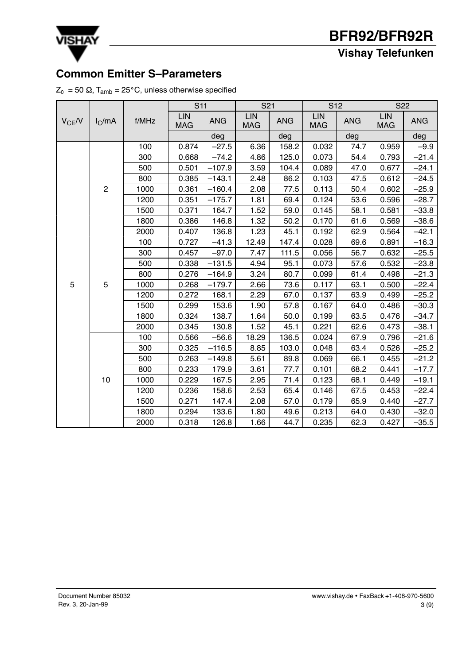

**Vishay Telefunken**

# **Common Emitter S–Parameters**

**VISHAY** 

|  |  |  |  |  |  | $\textnormal{Z}_\textnormal{0}$ = 50 $\Omega$ , T <sub>amb</sub> = 25°C, unless otherwise specified |  |
|--|--|--|--|--|--|-----------------------------------------------------------------------------------------------------|--|
|--|--|--|--|--|--|-----------------------------------------------------------------------------------------------------|--|

|             |                |       | <b>S11</b>               |            | S <sub>21</sub>          |            | S <sub>12</sub>   |            | S <sub>22</sub>   |            |
|-------------|----------------|-------|--------------------------|------------|--------------------------|------------|-------------------|------------|-------------------|------------|
| $V_{CE}$ /V | $I_C$ /mA      | f/MHz | <b>LIN</b><br><b>MAG</b> | <b>ANG</b> | <b>LIN</b><br><b>MAG</b> | <b>ANG</b> | LIN<br><b>MAG</b> | <b>ANG</b> | LIN<br><b>MAG</b> | <b>ANG</b> |
|             |                |       |                          | deg        |                          | deg        |                   | deg        |                   | deg        |
|             |                | 100   | 0.874                    | $-27.5$    | 6.36                     | 158.2      | 0.032             | 74.7       | 0.959             | $-9.9$     |
|             |                | 300   | 0.668                    | $-74.2$    | 4.86                     | 125.0      | 0.073             | 54.4       | 0.793             | $-21.4$    |
|             |                | 500   | 0.501                    | $-107.9$   | 3.59                     | 104.4      | 0.089             | 47.0       | 0.677             | $-24.1$    |
|             |                | 800   | 0.385                    | $-143.1$   | 2.48                     | 86.2       | 0.103             | 47.5       | 0.612             | $-24.5$    |
|             | $\overline{c}$ | 1000  | 0.361                    | $-160.4$   | 2.08                     | 77.5       | 0.113             | 50.4       | 0.602             | $-25.9$    |
|             |                | 1200  | 0.351                    | $-175.7$   | 1.81                     | 69.4       | 0.124             | 53.6       | 0.596             | $-28.7$    |
|             |                | 1500  | 0.371                    | 164.7      | 1.52                     | 59.0       | 0.145             | 58.1       | 0.581             | $-33.8$    |
|             |                | 1800  | 0.386                    | 146.8      | 1.32                     | 50.2       | 0.170             | 61.6       | 0.569             | $-38.6$    |
|             |                | 2000  | 0.407                    | 136.8      | 1.23                     | 45.1       | 0.192             | 62.9       | 0.564             | $-42.1$    |
|             | 5              | 100   | 0.727                    | $-41.3$    | 12.49                    | 147.4      | 0.028             | 69.6       | 0.891             | $-16.3$    |
|             |                | 300   | 0.457                    | $-97.0$    | 7.47                     | 111.5      | 0.056             | 56.7       | 0.632             | $-25.5$    |
|             |                | 500   | 0.338                    | $-131.5$   | 4.94                     | 95.1       | 0.073             | 57.6       | 0.532             | $-23.8$    |
|             |                | 800   | 0.276                    | $-164.9$   | 3.24                     | 80.7       | 0.099             | 61.4       | 0.498             | $-21.3$    |
| 5           |                | 1000  | 0.268                    | $-179.7$   | 2.66                     | 73.6       | 0.117             | 63.1       | 0.500             | $-22.4$    |
|             |                | 1200  | 0.272                    | 168.1      | 2.29                     | 67.0       | 0.137             | 63.9       | 0.499             | $-25.2$    |
|             |                | 1500  | 0.299                    | 153.6      | 1.90                     | 57.8       | 0.167             | 64.0       | 0.486             | $-30.3$    |
|             |                | 1800  | 0.324                    | 138.7      | 1.64                     | 50.0       | 0.199             | 63.5       | 0.476             | $-34.7$    |
|             |                | 2000  | 0.345                    | 130.8      | 1.52                     | 45.1       | 0.221             | 62.6       | 0.473             | $-38.1$    |
|             |                | 100   | 0.566                    | $-56.6$    | 18.29                    | 136.5      | 0.024             | 67.9       | 0.796             | $-21.6$    |
|             |                | 300   | 0.325                    | $-116.5$   | 8.85                     | 103.0      | 0.048             | 63.4       | 0.526             | $-25.2$    |
|             |                | 500   | 0.263                    | $-149.8$   | 5.61                     | 89.8       | 0.069             | 66.1       | 0.455             | $-21.2$    |
|             |                | 800   | 0.233                    | 179.9      | 3.61                     | 77.7       | 0.101             | 68.2       | 0.441             | $-17.7$    |
|             | 10             | 1000  | 0.229                    | 167.5      | 2.95                     | 71.4       | 0.123             | 68.1       | 0.449             | $-19.1$    |
|             |                | 1200  | 0.236                    | 158.6      | 2.53                     | 65.4       | 0.146             | 67.5       | 0.453             | $-22.4$    |
|             |                | 1500  | 0.271                    | 147.4      | 2.08                     | 57.0       | 0.179             | 65.9       | 0.440             | $-27.7$    |
|             |                | 1800  | 0.294                    | 133.6      | 1.80                     | 49.6       | 0.213             | 64.0       | 0.430             | $-32.0$    |
|             |                | 2000  | 0.318                    | 126.8      | 1.66                     | 44.7       | 0.235             | 62.3       | 0.427             | $-35.5$    |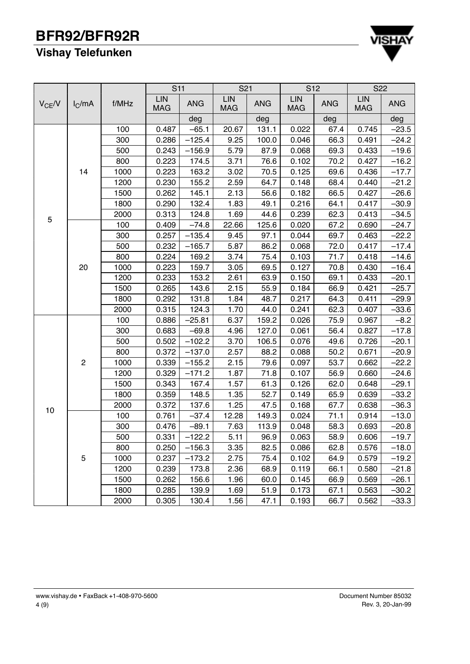# **Vishay Telefunken**



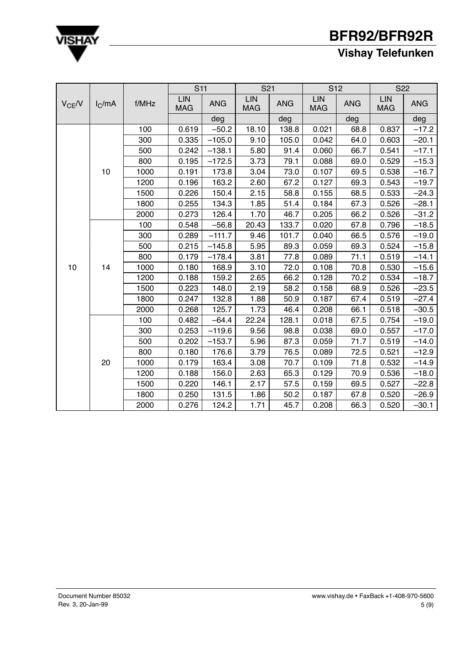

# **Vishay Telefunken**

|             |                    |       | S <sub>11</sub>          |            | S <sub>21</sub>   |            | S <sub>12</sub>   |            | S <sub>22</sub>   |            |
|-------------|--------------------|-------|--------------------------|------------|-------------------|------------|-------------------|------------|-------------------|------------|
| $V_{CE}$ /V | I <sub>C</sub> /mA | f/MHz | <b>LIN</b><br><b>MAG</b> | <b>ANG</b> | LIN<br><b>MAG</b> | <b>ANG</b> | LIN<br><b>MAG</b> | <b>ANG</b> | LIN<br><b>MAG</b> | <b>ANG</b> |
|             |                    |       |                          | deg        |                   | deg        |                   | deg        |                   | deg        |
|             |                    | 100   | 0.619                    | $-50.2$    | 18.10             | 138.8      | 0.021             | 68.8       | 0.837             | $-17.2$    |
|             |                    | 300   | 0.335                    | $-105.0$   | 9.10              | 105.0      | 0.042             | 64.0       | 0.603             | $-20.1$    |
|             |                    | 500   | 0.242                    | $-138.1$   | 5.80              | 91.4       | 0.060             | 66.7       | 0.541             | $-17.1$    |
|             |                    | 800   | 0.195                    | $-172.5$   | 3.73              | 79.1       | 0.088             | 69.0       | 0.529             | $-15.3$    |
|             | 10                 | 1000  | 0.191                    | 173.8      | 3.04              | 73.0       | 0.107             | 69.5       | 0.538             | $-16.7$    |
|             |                    | 1200  | 0.196                    | 163.2      | 2.60              | 67.2       | 0.127             | 69.3       | 0.543             | $-19.7$    |
|             |                    | 1500  | 0.226                    | 150.4      | 2.15              | 58.8       | 0.155             | 68.5       | 0.533             | $-24.3$    |
|             |                    | 1800  | 0.255                    | 134.3      | 1.85              | 51.4       | 0.184             | 67.3       | 0.526             | $-28.1$    |
|             |                    | 2000  | 0.273                    | 126.4      | 1.70              | 46.7       | 0.205             | 66.2       | 0.526             | $-31.2$    |
|             | 14                 | 100   | 0.548                    | $-56.8$    | 20.43             | 133.7      | 0.020             | 67.8       | 0.796             | $-18.5$    |
|             |                    | 300   | 0.289                    | $-111.7$   | 9.46              | 101.7      | 0.040             | 66.5       | 0.576             | $-19.0$    |
|             |                    | 500   | 0.215                    | $-145.8$   | 5.95              | 89.3       | 0.059             | 69.3       | 0.524             | $-15.8$    |
|             |                    | 800   | 0.179                    | $-178.4$   | 3.81              | 77.8       | 0.089             | 71.1       | 0.519             | $-14.1$    |
| 10          |                    | 1000  | 0.180                    | 168.9      | 3.10              | 72.0       | 0.108             | 70.8       | 0.530             | $-15.6$    |
|             |                    | 1200  | 0.188                    | 159.2      | 2.65              | 66.2       | 0.128             | 70.2       | 0.534             | $-18.7$    |
|             |                    | 1500  | 0.223                    | 148.0      | 2.19              | 58.2       | 0.158             | 68.9       | 0.526             | $-23.5$    |
|             |                    | 1800  | 0.247                    | 132.8      | 1.88              | 50.9       | 0.187             | 67.4       | 0.519             | $-27.4$    |
|             |                    | 2000  | 0.268                    | 125.7      | 1.73              | 46.4       | 0.208             | 66.1       | 0.518             | $-30.5$    |
|             |                    | 100   | 0.482                    | $-64.4$    | 22.24             | 128.1      | 0.018             | 67.5       | 0.754             | $-19.0$    |
|             |                    | 300   | 0.253                    | $-119.6$   | 9.56              | 98.8       | 0.038             | 69.0       | 0.557             | $-17.0$    |
|             |                    | 500   | 0.202                    | $-153.7$   | 5.96              | 87.3       | 0.059             | 71.7       | 0.519             | $-14.0$    |
|             |                    | 800   | 0.180                    | 176.6      | 3.79              | 76.5       | 0.089             | 72.5       | 0.521             | $-12.9$    |
|             | 20                 | 1000  | 0.179                    | 163.4      | 3.08              | 70.7       | 0.109             | 71.8       | 0.532             | $-14.9$    |
|             |                    | 1200  | 0.188                    | 156.0      | 2.63              | 65.3       | 0.129             | 70.9       | 0.536             | $-18.0$    |
|             |                    | 1500  | 0.220                    | 146.1      | 2.17              | 57.5       | 0.159             | 69.5       | 0.527             | $-22.8$    |
|             |                    | 1800  | 0.250                    | 131.5      | 1.86              | 50.2       | 0.187             | 67.8       | 0.520             | $-26.9$    |
|             |                    | 2000  | 0.276                    | 124.2      | 1.71              | 45.7       | 0.208             | 66.3       | 0.520             | $-30.1$    |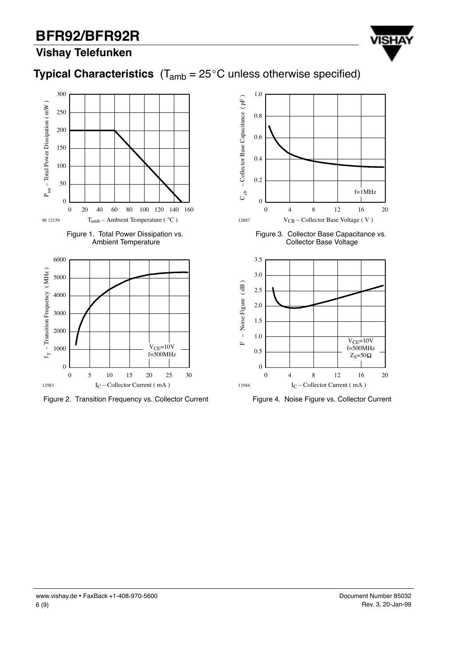

# **Vishay Telefunken**













Figure 3. Collector Base Capacitance vs. Collector Base Voltage



Figure 4. Noise Figure vs. Collector Current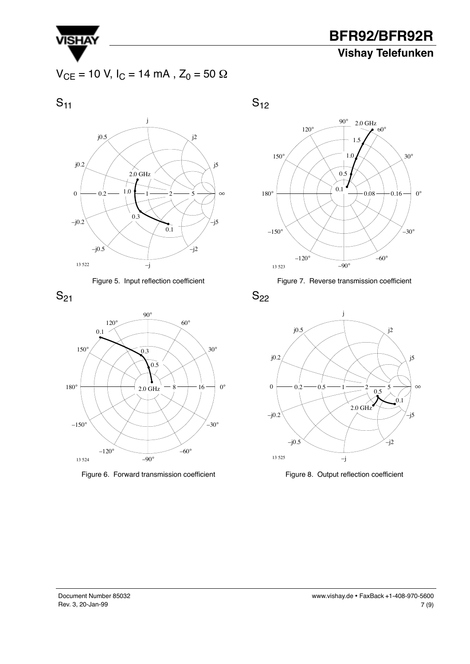

**BFR92/BFR92R Vishay Telefunken**

 $V_{CE}$  = 10 V, I<sub>C</sub> = 14 mA, Z<sub>0</sub> = 50  $\Omega$ 

 $S_{11}$ 









Figure 6. Forward transmission coefficient







 $S_{22}$ 



Figure 8. Output reflection coefficient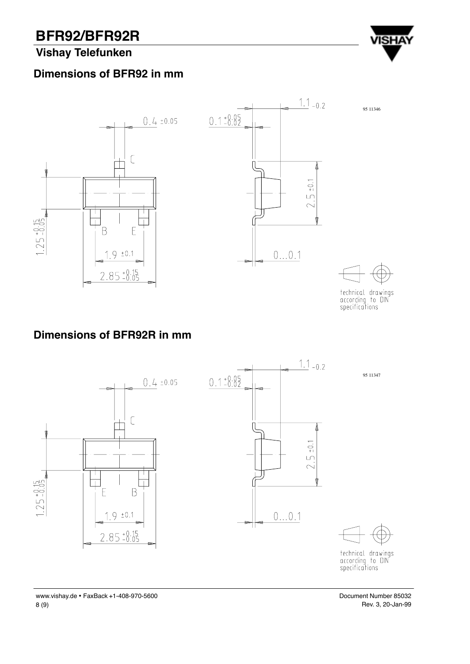## **Vishay Telefunken**





technical drawings<br>according to DIN<br>specifications

**VISHA** 

## **Dimensions of BFR92R in mm**



Document Number 85032